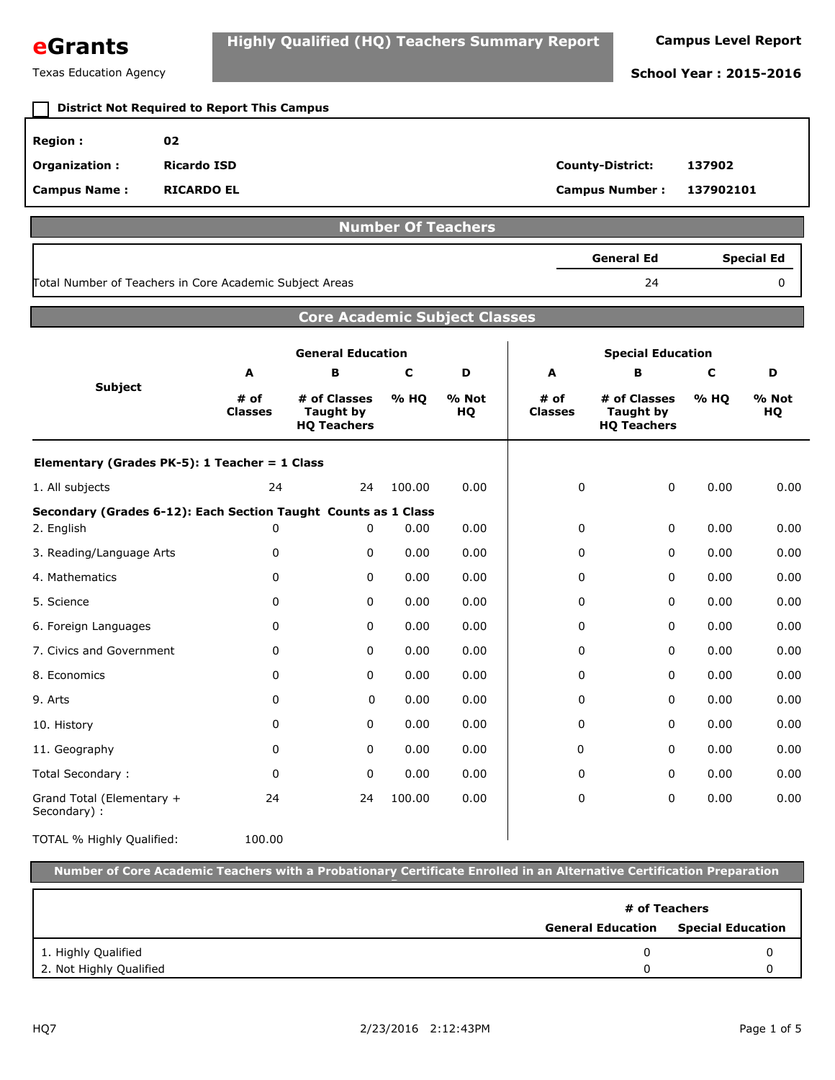| eGrants | <b>Highly Qualified (HQ) Teachers Summary Report</b> | <b>Campus Level Report</b> |
|---------|------------------------------------------------------|----------------------------|
|         |                                                      |                            |

### Texas Education Agency **School Year : 2015-2016 Region : 02 Organization : Ricardo ISD County-District: 137902 Campus Name : Campus Number : RICARDO EL 137902101 District Not Required to Report This Campus Number Of Teachers** 24 0 **General Ed Special Ed** Total Number of Teachers in Core Academic Subject Areas **Core Academic Subject Classes Subject General Education Special Education A # of Classes B # of Classes Taught by HQ Teachers C % HQ D % Not HQ A # of Classes B # of Classes Taught by HQ Teachers C % HQ D % Not HQ Elementary (Grades PK-5): 1 Teacher = 1 Class** 1. All subjects 100.00 0.00 0.00 0.00 **Secondary (Grades 6-12): Each Section Taught Counts as 1 Class** 2. English 0.00 0.00 0.00 0.00 3. Reading/Language Arts 0.00 0.00 0.00 0.00 4. Mathematics 0.00 0.00 0.00 0.00 5. Science 0.00 0.00 0.00 0.00 6. Foreign Languages 0.00 0.00 0.00 0.00 7. Civics and Government  $\begin{array}{ccccccc} 0 & 0.00 & 0.00 & 0.00 & 0.00 & 0.00 & 0.00 \end{array}$ 8. Economics 0.00 0.00 0.00 0.00 9. Arts 0.00 0.00 0.00 0.00 10. History 0.00 0.00 0.00 0.00 11. Geography 0.00 0.00 0.00 0.00 Total Secondary : 0.00 0.00 0.00 0.00 Grand Total (Elementary + Secondary) : 100.00 0.00 0.00 0.00 TOTAL % Highly Qualified: 24 24 0 0  $0 \t 0 \t 0.00 \t 0.00 \t 0 \t 0 \t 0 \t 0$  $0 \t 0 \t 0.00 \t 0.00 \t 0 \t 0 \t 0 \t 0$  $0 \t 0 \t 0.00 \t 0.00 \t 0 \t 0 \t 0 \t 0$  $0 \t 0 \t 0.00 \t 0.00 \t 0 \t 0 \t 0 \t 0$  $0 \t 0 \t 0.00 \t 0.00 \t 0 \t 0 \t 0 \t 0$  $0 \t 0 \t 0.00 \t 0.00 \t 0 \t 0 \t 0 \t 0$  $0 \t 0 \t 0.00 \t 0.00 \t 0 \t 0 \t 0 \t 0$  $0 \t 0 \t 0.00 \t 0.00 \t 0 \t 0 \t 0 \t 0$  $0 \t 0 \t 0.00 \t 0.00 \t 0 \t 0 \t 0 \t 0$  $0 \t 0 \t 0.00 \t 0.00 \t 0 \t 0 \t 0 \t 0$  $0 \t 0 \t 0.00 \t 0.00 \t 0 \t 0 \t 0 \t 0$ 24 24 100.00 0.00 0 0 0 100.00 **Number of Core Academic Teachers with a Probationary Certificate Enrolled in an Alternative Certification Preparation Program General Education Special Education # of Teachers** 2. Not Highly Qualified 1. Highly Qualified 0 0 0 0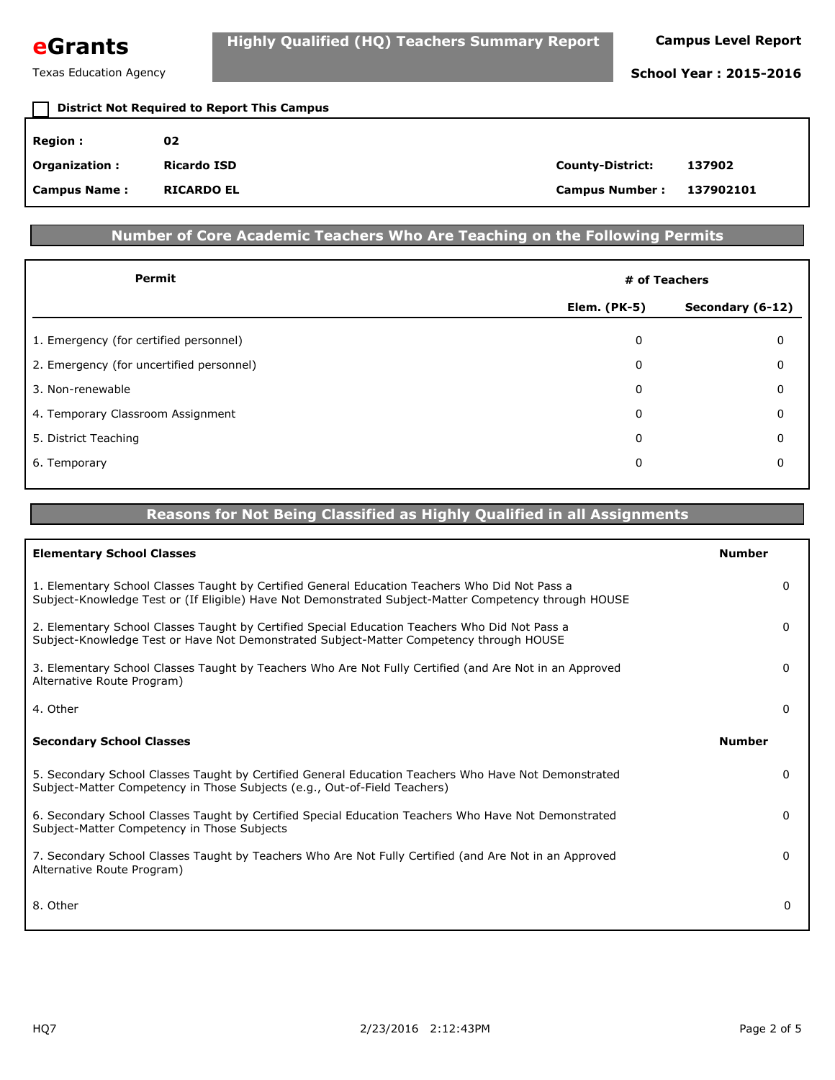**eGrants Highly Qualified (HQ) Teachers Summary Report Campus Level Report** 

| <b>District Not Required to Report This Campus</b> |                    |                         |           |
|----------------------------------------------------|--------------------|-------------------------|-----------|
| <b>Region:</b>                                     | 02                 |                         |           |
| <b>Organization:</b>                               | <b>Ricardo ISD</b> | <b>County-District:</b> | 137902    |
| <b>Campus Name:</b>                                | <b>RICARDO EL</b>  | <b>Campus Number:</b>   | 137902101 |

# **Number of Core Academic Teachers Who Are Teaching on the Following Permits**

| Permit                                   | # of Teachers       |                  |  |
|------------------------------------------|---------------------|------------------|--|
|                                          | <b>Elem.</b> (PK-5) | Secondary (6-12) |  |
| 1. Emergency (for certified personnel)   | 0                   | 0                |  |
| 2. Emergency (for uncertified personnel) | $\Omega$            | 0                |  |
| 3. Non-renewable                         | 0                   | $\Omega$         |  |
| 4. Temporary Classroom Assignment        | 0                   | 0                |  |
| 5. District Teaching                     | 0                   | $\Omega$         |  |
| 6. Temporary                             | 0                   | 0                |  |
|                                          |                     |                  |  |

# **Reasons for Not Being Classified as Highly Qualified in all Assignments**

| <b>Elementary School Classes</b>                                                                                                                                                                        | <b>Number</b> |
|---------------------------------------------------------------------------------------------------------------------------------------------------------------------------------------------------------|---------------|
| 1. Elementary School Classes Taught by Certified General Education Teachers Who Did Not Pass a<br>Subject-Knowledge Test or (If Eligible) Have Not Demonstrated Subject-Matter Competency through HOUSE | 0             |
| 2. Elementary School Classes Taught by Certified Special Education Teachers Who Did Not Pass a<br>Subject-Knowledge Test or Have Not Demonstrated Subject-Matter Competency through HOUSE               | 0             |
| 3. Elementary School Classes Taught by Teachers Who Are Not Fully Certified (and Are Not in an Approved<br>Alternative Route Program)                                                                   | 0             |
| 4. Other                                                                                                                                                                                                | 0             |
| <b>Secondary School Classes</b>                                                                                                                                                                         | <b>Number</b> |
| 5. Secondary School Classes Taught by Certified General Education Teachers Who Have Not Demonstrated<br>Subject-Matter Competency in Those Subjects (e.g., Out-of-Field Teachers)                       | $\Omega$      |
| 6. Secondary School Classes Taught by Certified Special Education Teachers Who Have Not Demonstrated<br>Subject-Matter Competency in Those Subjects                                                     | 0             |
| 7. Secondary School Classes Taught by Teachers Who Are Not Fully Certified (and Are Not in an Approved<br>Alternative Route Program)                                                                    | 0             |
| 8. Other                                                                                                                                                                                                | $\Omega$      |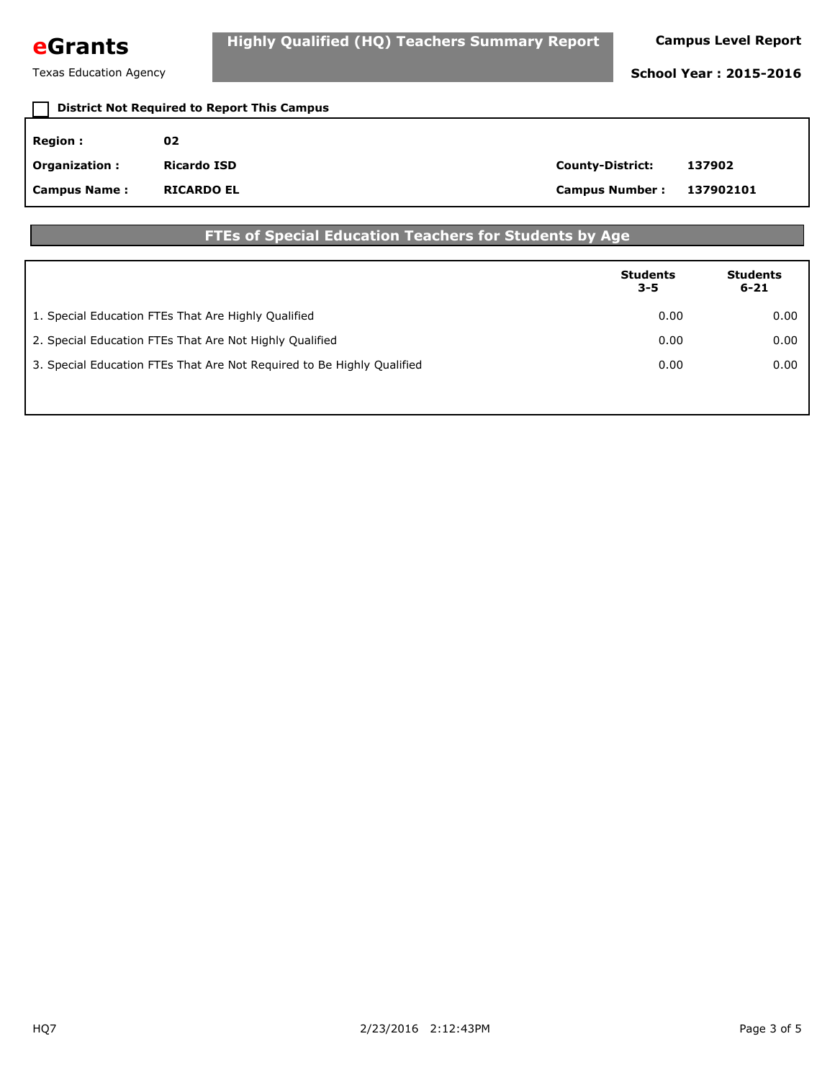# **eGrants Highly Qualified (HQ) Teachers Summary Report Campus Level Report**

Texas Education Agency **School Year : 2015-2016** 

| <b>District Not Required to Report This Campus</b> |                    |                         |           |
|----------------------------------------------------|--------------------|-------------------------|-----------|
| <b>Region:</b>                                     | 02                 |                         |           |
| <b>Organization:</b>                               | <b>Ricardo ISD</b> | <b>County-District:</b> | 137902    |
| <b>Campus Name:</b>                                | <b>RICARDO EL</b>  | <b>Campus Number:</b>   | 137902101 |

# **FTEs of Special Education Teachers for Students by Age**

|                                                                        | <b>Students</b><br>$3 - 5$ | <b>Students</b><br>$6 - 21$ |
|------------------------------------------------------------------------|----------------------------|-----------------------------|
| 1. Special Education FTEs That Are Highly Qualified                    | 0.00                       | 0.00                        |
| 2. Special Education FTEs That Are Not Highly Qualified                | 0.00                       | 0.00                        |
| 3. Special Education FTEs That Are Not Reguired to Be Highly Qualified | 0.00                       | 0.00                        |
|                                                                        |                            |                             |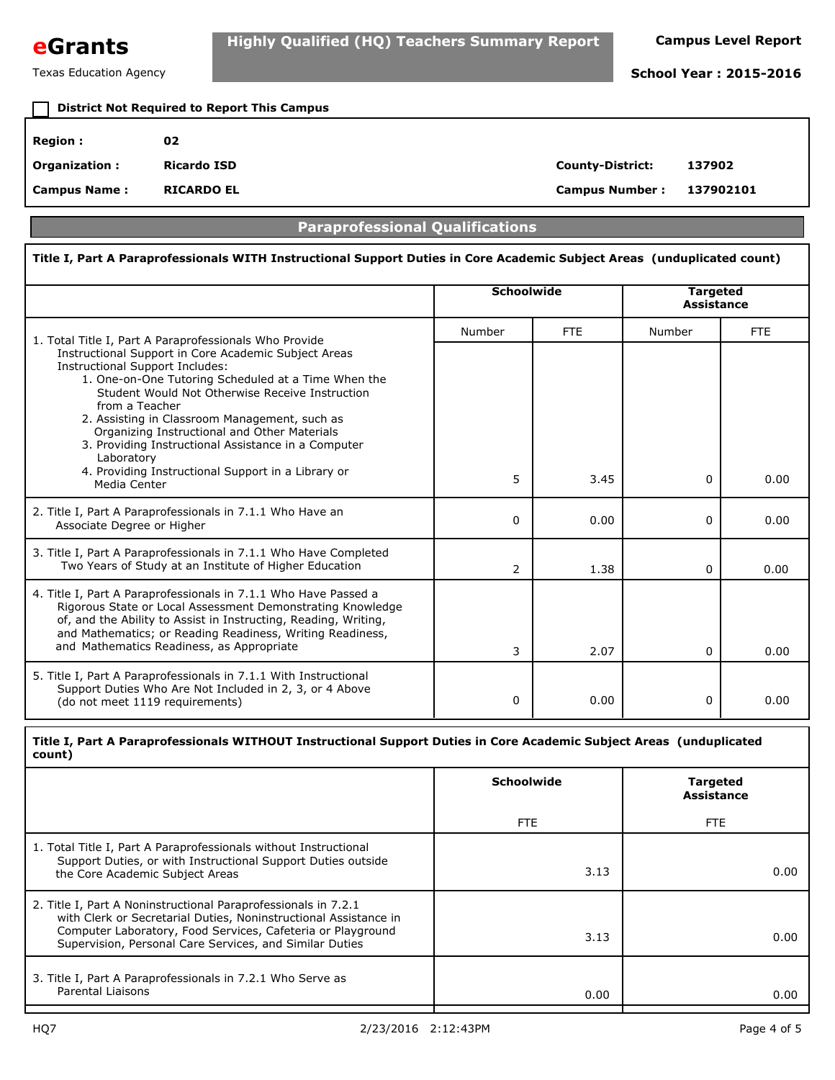

# **District Not Required to Report This Campus**

| <b>Region :</b>      | 02                |                         |           |
|----------------------|-------------------|-------------------------|-----------|
| <b>Organization:</b> | Ricardo ISD       | <b>County-District:</b> | 137902    |
| <b>Campus Name:</b>  | <b>RICARDO EL</b> | <b>Campus Number:</b>   | 137902101 |

## **Paraprofessional Qualifications**

### **Title I, Part A Paraprofessionals WITH Instructional Support Duties in Core Academic Subject Areas (unduplicated count) Schoolwide Targeted Assistance** 1. Total Title I, Part A Paraprofessionals Who Provide **1. Community Contract Provide** Report A Paraprofessionals Who Provide Instructional Support in Core Academic Subject Areas Instructional Support Includes: 1. One-on-One Tutoring Scheduled at a Time When the Student Would Not Otherwise Receive Instruction from a Teacher 2. Assisting in Classroom Management, such as Organizing Instructional and Other Materials 3. Providing Instructional Assistance in a Computer Laboratory 4. Providing Instructional Support in a Library or Media Center 2. Title I, Part A Paraprofessionals in 7.1.1 Who Have an Associate Degree or Higher 3. Title I, Part A Paraprofessionals in 7.1.1 Who Have Completed Two Years of Study at an Institute of Higher Education 4. Title I, Part A Paraprofessionals in 7.1.1 Who Have Passed a Rigorous State or Local Assessment Demonstrating Knowledge of, and the Ability to Assist in Instructing, Reading, Writing, and Mathematics; or Reading Readiness, Writing Readiness, and Mathematics Readiness, as Appropriate 5. Title I, Part A Paraprofessionals in 7.1.1 With Instructional Support Duties Who Are Not Included in 2, 3, or 4 Above (do not meet 1119 requirements)  $0 | 0.00 | 0 | 0.00$  $0 | 0.00 | 0 | 0.00$  2 1.38 0 0.00 3 2.07 0 0.00 5 3.45 0 0.00

### **Title I, Part A Paraprofessionals WITHOUT Instructional Support Duties in Core Academic Subject Areas (unduplicated count)**

|                                                                                                                                                                                                                                                              | Schoolwide | <b>Targeted</b><br><b>Assistance</b> |
|--------------------------------------------------------------------------------------------------------------------------------------------------------------------------------------------------------------------------------------------------------------|------------|--------------------------------------|
|                                                                                                                                                                                                                                                              | FTE.       | <b>FTE</b>                           |
| 1. Total Title I, Part A Paraprofessionals without Instructional<br>Support Duties, or with Instructional Support Duties outside<br>the Core Academic Subject Areas                                                                                          | 3.13       | 0.00                                 |
| 2. Title I, Part A Noninstructional Paraprofessionals in 7.2.1<br>with Clerk or Secretarial Duties, Noninstructional Assistance in<br>Computer Laboratory, Food Services, Cafeteria or Playground<br>Supervision, Personal Care Services, and Similar Duties | 3.13       | 0.00                                 |
| 3. Title I, Part A Paraprofessionals in 7.2.1 Who Serve as<br>Parental Liaisons                                                                                                                                                                              | 0.00       | 0.00                                 |
|                                                                                                                                                                                                                                                              |            |                                      |